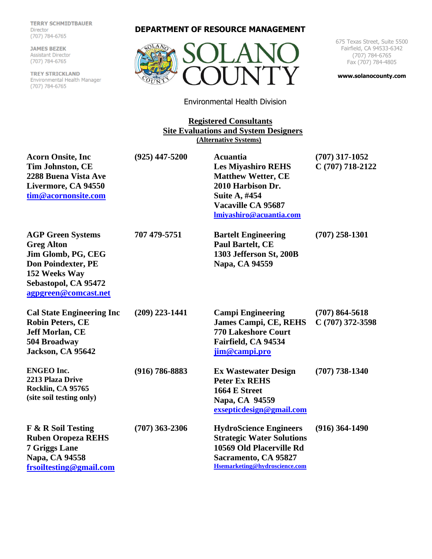**TERRY SCHMIDTBAUER** Director  $(707)$  701-0705

**JAMES BEZEK**<br>Assistant Director (707) 784-6765

**TREY STRICKLAND** Environmental Health Manager (707) 784-6765

## **DEPARTMENT OF RESOURCE MANAGEMENT**



675 Texas Street, Suite 5500 Fairfield, CA 94533-6342 (707) 784-6765 Fax (707) 784-4805

**[www.solanocounty.com](http://www.solanocounty.com/)**

Environmental Health Division

**Registered Consultants Site Evaluations and System Designers (Alternative Systems)**

| <b>Acorn Onsite, Inc.</b><br><b>Tim Johnston, CE</b><br>2288 Buena Vista Ave<br>Livermore, CA 94550<br>tim@acornonsite.com                                        | $(925)$ 447-5200   | <b>Acuantia</b><br><b>Les Miyashiro REHS</b><br><b>Matthew Wetter, CE</b><br>2010 Harbison Dr.<br>Suite A, #454<br>Vacaville CA 95687<br>lmiyashiro@acuantia.com | $(707)$ 317-1052<br>C (707) 718-2122   |
|-------------------------------------------------------------------------------------------------------------------------------------------------------------------|--------------------|------------------------------------------------------------------------------------------------------------------------------------------------------------------|----------------------------------------|
| <b>AGP Green Systems</b><br><b>Greg Alton</b><br>Jim Glomb, PG, CEG<br><b>Don Poindexter, PE</b><br>152 Weeks Way<br>Sebastopol, CA 95472<br>agpgreen@comcast.net | 707 479-5751       | <b>Bartelt Engineering</b><br><b>Paul Bartelt, CE</b><br>1303 Jefferson St, 200B<br>Napa, CA 94559                                                               | $(707)$ 258-1301                       |
| <b>Cal State Engineering Inc</b><br><b>Robin Peters, CE</b><br><b>Jeff Morlan, CE</b><br>504 Broadway<br>Jackson, CA 95642                                        | $(209)$ 223-1441   | <b>Campi Engineering</b><br><b>James Campi, CE, REHS</b><br><b>770 Lakeshore Court</b><br>Fairfield, CA 94534<br>jim@campi.pro                                   | $(707) 864 - 5618$<br>C (707) 372-3598 |
| <b>ENGEO Inc.</b><br>2213 Plaza Drive<br>Rocklin, CA 95765<br>(site soil testing only)                                                                            | $(916) 786 - 8883$ | <b>Ex Wastewater Design</b><br><b>Peter Ex REHS</b><br>1664 E Street<br>Napa, CA 94559<br>exsepticdesign@gmail.com                                               | $(707)$ 738-1340                       |
| F & R Soil Testing<br><b>Ruben Oropeza REHS</b><br><b>7 Griggs Lane</b><br>Napa, CA 94558<br>frsoiltesting@gmail.com                                              | $(707)$ 363-2306   | <b>HydroScience Engineers</b><br><b>Strategic Water Solutions</b><br>10569 Old Placerville Rd<br>Sacramento, CA 95827<br>Hsemarketing@hydroscience.com           | $(916)$ 364-1490                       |